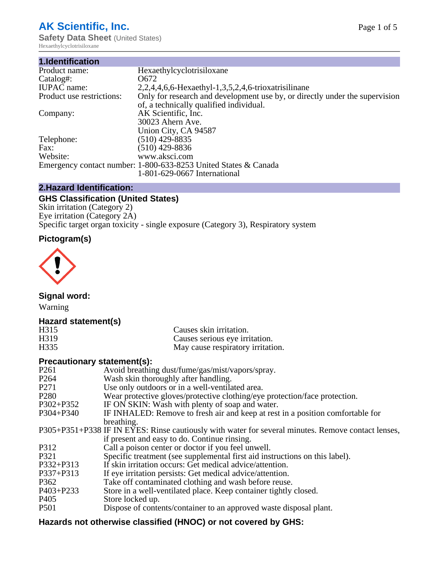# **AK Scientific, Inc.**

**Safety Data Sheet (United States)** Hexaethylcyclotrisiloxane

| 1.Identification          |                                                                             |
|---------------------------|-----------------------------------------------------------------------------|
| Product name:             | Hexaethylcyclotrisiloxane                                                   |
| Catalog#:                 | 0672                                                                        |
| <b>IUPAC</b> name:        | 2,2,4,4,6,6-Hexaethyl-1,3,5,2,4,6-trioxatrisilinane                         |
| Product use restrictions: | Only for research and development use by, or directly under the supervision |
|                           | of, a technically qualified individual.                                     |
| Company:                  | AK Scientific, Inc.                                                         |
|                           | 30023 Ahern Ave.                                                            |
|                           | Union City, CA 94587                                                        |
| Telephone:                | $(510)$ 429-8835                                                            |
| Fax:                      | (510) 429-8836                                                              |
| Website:                  | www.aksci.com                                                               |
|                           | Emergency contact number: 1-800-633-8253 United States & Canada             |
|                           | 1-801-629-0667 International                                                |

## **2.Hazard Identification:**

## **GHS Classification (United States)**

Skin irritation (Category 2) Eye irritation (Category 2A) Specific target organ toxicity - single exposure (Category 3), Respiratory system

# **Pictogram(s)**



**Signal word:**

Warning

#### **Hazard statement(s)**

| H315 | Causes skin irritation.           |
|------|-----------------------------------|
| H319 | Causes serious eye irritation.    |
| H335 | May cause respiratory irritation. |

### **Precautionary statement(s):**

| P <sub>261</sub> | Avoid breathing dust/fume/gas/mist/vapors/spray.                                                   |
|------------------|----------------------------------------------------------------------------------------------------|
| P <sub>264</sub> | Wash skin thoroughly after handling.                                                               |
| P <sub>271</sub> | Use only outdoors or in a well-ventilated area.                                                    |
| P <sub>280</sub> | Wear protective gloves/protective clothing/eye protection/face protection.                         |
| P302+P352        | IF ON SKIN: Wash with plenty of soap and water.                                                    |
| $P304 + P340$    | IF INHALED: Remove to fresh air and keep at rest in a position comfortable for                     |
|                  | breathing.                                                                                         |
|                  | P305+P351+P338 IF IN EYES: Rinse cautiously with water for several minutes. Remove contact lenses, |
|                  | if present and easy to do. Continue rinsing.                                                       |
| P312             | Call a poison center or doctor if you feel unwell.                                                 |
| P321             | Specific treatment (see supplemental first aid instructions on this label).                        |
| P332+P313        | If skin irritation occurs: Get medical advice/attention.                                           |
| P337+P313        | If eye irritation persists: Get medical advice/attention.                                          |
| P362             | Take off contaminated clothing and wash before reuse.                                              |
| P403+P233        | Store in a well-ventilated place. Keep container tightly closed.                                   |
| P <sub>405</sub> | Store locked up.                                                                                   |
| P <sub>501</sub> | Dispose of contents/container to an approved waste disposal plant.                                 |
|                  |                                                                                                    |

## **Hazards not otherwise classified (HNOC) or not covered by GHS:**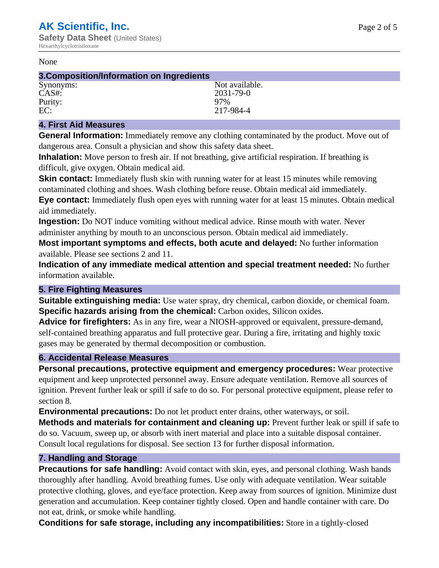#### None

#### **3.Composition/Information on Ingredients** Synonyms: Not available.

CAS#: 2031-79-0<br>Purity: 2007 - 2008 - 2009<br>2009 - 2010 - 2010 - 2010 - 2010 - 2010 - 2010 - 2010 - 2010 - 2010 - 2010 - 2010 - 2010 - 2010 - 2010 - 2010 Purity:<br>EC:

217-984-4

## **4. First Aid Measures**

**General Information:** Immediately remove any clothing contaminated by the product. Move out of dangerous area. Consult a physician and show this safety data sheet.

**Inhalation:** Move person to fresh air. If not breathing, give artificial respiration. If breathing is difficult, give oxygen. Obtain medical aid.

**Skin contact:** Immediately flush skin with running water for at least 15 minutes while removing contaminated clothing and shoes. Wash clothing before reuse. Obtain medical aid immediately. **Eye contact:** Immediately flush open eyes with running water for at least 15 minutes. Obtain medical aid immediately.

**Ingestion:** Do NOT induce vomiting without medical advice. Rinse mouth with water. Never administer anything by mouth to an unconscious person. Obtain medical aid immediately.

**Most important symptoms and effects, both acute and delayed:** No further information available. Please see sections 2 and 11.

**Indication of any immediate medical attention and special treatment needed:** No further information available.

## **5. Fire Fighting Measures**

**Suitable extinguishing media:** Use water spray, dry chemical, carbon dioxide, or chemical foam. **Specific hazards arising from the chemical:** Carbon oxides, Silicon oxides.

**Advice for firefighters:** As in any fire, wear a NIOSH-approved or equivalent, pressure-demand, self-contained breathing apparatus and full protective gear. During a fire, irritating and highly toxic gases may be generated by thermal decomposition or combustion.

## **6. Accidental Release Measures**

**Personal precautions, protective equipment and emergency procedures:** Wear protective equipment and keep unprotected personnel away. Ensure adequate ventilation. Remove all sources of ignition. Prevent further leak or spill if safe to do so. For personal protective equipment, please refer to section 8.

**Environmental precautions:** Do not let product enter drains, other waterways, or soil.

**Methods and materials for containment and cleaning up:** Prevent further leak or spill if safe to do so. Vacuum, sweep up, or absorb with inert material and place into a suitable disposal container. Consult local regulations for disposal. See section 13 for further disposal information.

## **7. Handling and Storage**

**Precautions for safe handling:** Avoid contact with skin, eyes, and personal clothing. Wash hands thoroughly after handling. Avoid breathing fumes. Use only with adequate ventilation. Wear suitable protective clothing, gloves, and eye/face protection. Keep away from sources of ignition. Minimize dust generation and accumulation. Keep container tightly closed. Open and handle container with care. Do not eat, drink, or smoke while handling.

**Conditions for safe storage, including any incompatibilities:** Store in a tightly-closed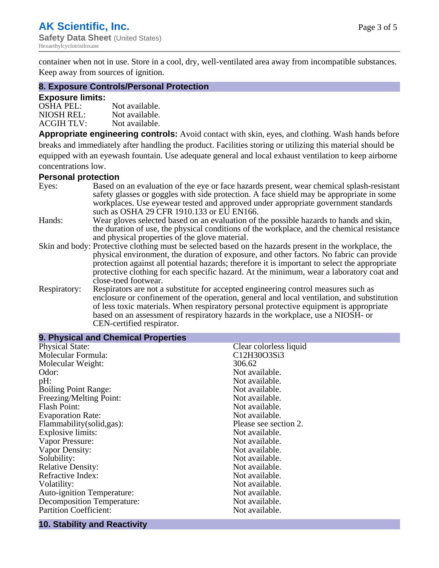container when not in use. Store in a cool, dry, well-ventilated area away from incompatible substances. Keep away from sources of ignition.

#### **8. Exposure Controls/Personal Protection**

#### **Exposure limits:**

| <b>OSHA PEL:</b>  | Not available. |
|-------------------|----------------|
| NIOSH REL:        | Not available. |
| <b>ACGIH TLV:</b> | Not available. |

**Appropriate engineering controls:** Avoid contact with skin, eyes, and clothing. Wash hands before breaks and immediately after handling the product. Facilities storing or utilizing this material should be equipped with an eyewash fountain. Use adequate general and local exhaust ventilation to keep airborne concentrations low.

#### **Personal protection**

| Eyes:        | Based on an evaluation of the eye or face hazards present, wear chemical splash-resistant<br>safety glasses or goggles with side protection. A face shield may be appropriate in some |
|--------------|---------------------------------------------------------------------------------------------------------------------------------------------------------------------------------------|
|              | workplaces. Use eyewear tested and approved under appropriate government standards<br>such as OSHA 29 CFR 1910.133 or EU EN166.                                                       |
| Hands:       | Wear gloves selected based on an evaluation of the possible hazards to hands and skin,                                                                                                |
|              | the duration of use, the physical conditions of the workplace, and the chemical resistance                                                                                            |
|              | and physical properties of the glove material.                                                                                                                                        |
|              | Skin and body: Protective clothing must be selected based on the hazards present in the workplace, the                                                                                |
|              | physical environment, the duration of exposure, and other factors. No fabric can provide                                                                                              |
|              | protection against all potential hazards; therefore it is important to select the appropriate                                                                                         |
|              | protective clothing for each specific hazard. At the minimum, wear a laboratory coat and                                                                                              |
|              | close-toed footwear.                                                                                                                                                                  |
| Respiratory: | Respirators are not a substitute for accepted engineering control measures such as<br>enclosure or confinement of the operation, general and local ventilation, and substitution      |
|              | of less toxic materials. When respiratory personal protective equipment is appropriate                                                                                                |
|              |                                                                                                                                                                                       |
|              | based on an assessment of respiratory hazards in the workplace, use a NIOSH- or                                                                                                       |
|              | CEN-certified respirator.                                                                                                                                                             |

| 9. Physical and Chemical Properties |                        |
|-------------------------------------|------------------------|
| <b>Physical State:</b>              | Clear colorless liquid |
| Molecular Formula:                  | C12H30O3Si3            |
| Molecular Weight:                   | 306.62                 |
| Odor:                               | Not available.         |
| pH:                                 | Not available.         |
| <b>Boiling Point Range:</b>         | Not available.         |
| Freezing/Melting Point:             | Not available.         |
| <b>Flash Point:</b>                 | Not available.         |
| <b>Evaporation Rate:</b>            | Not available.         |
| Flammability(solid,gas):            | Please see section 2.  |
| Explosive limits:                   | Not available.         |
| Vapor Pressure:                     | Not available.         |
| Vapor Density:                      | Not available.         |
| Solubility:                         | Not available.         |
| <b>Relative Density:</b>            | Not available.         |
| Refractive Index:                   | Not available.         |
| Volatility:                         | Not available.         |
| Auto-ignition Temperature:          | Not available.         |
| <b>Decomposition Temperature:</b>   | Not available.         |
| <b>Partition Coefficient:</b>       | Not available.         |
|                                     |                        |

## **10. Stability and Reactivity**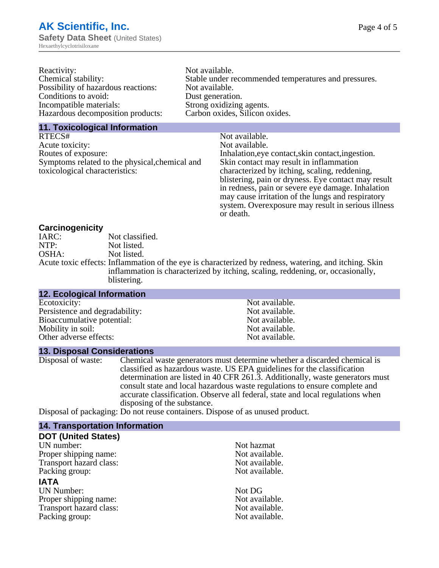| Reactivity:                         | Not available.                                       |
|-------------------------------------|------------------------------------------------------|
| Chemical stability:                 | Stable under recommended temperatures and pressures. |
| Possibility of hazardous reactions: | Not available.                                       |
| Conditions to avoid:                | Dust generation.                                     |
| Incompatible materials:             | Strong oxidizing agents.                             |
| Hazardous decomposition products:   | Carbon oxides, Silicon oxides.                       |
|                                     |                                                      |

#### **11. Toxicological Information**

| RTECS#                                         | Not available.                                      |
|------------------------------------------------|-----------------------------------------------------|
| Acute toxicity:                                | Not available.                                      |
| Routes of exposure:                            | Inhalation, eye contact, skin contact, ingestion.   |
| Symptoms related to the physical, chemical and | Skin contact may result in inflammation             |
| toxicological characteristics:                 | characterized by itching, scaling, reddening,       |
|                                                | blistering, pain or dryness. Eye contact may result |
|                                                | in redness, pain or severe eye damage. Inhalation   |
|                                                | may cause irritation of the lungs and respiratory   |
|                                                | system. Overexposure may result in serious illness  |

or death.

#### **Carcinogenicity**

| IARC: | Not classified.                                                                                       |
|-------|-------------------------------------------------------------------------------------------------------|
| NTP:  | Not listed.                                                                                           |
| OSHA: | Not listed.                                                                                           |
|       | Acute toxic effects: Inflammation of the eye is characterized by redness, watering, and itching. Skin |
|       | inflammation is characterized by itching, scaling, reddening, or, occasionally,                       |
|       | blistering.                                                                                           |

| <b>12. Ecological Information</b> |                |  |
|-----------------------------------|----------------|--|
| Ecotoxicity:                      | Not available. |  |
| Persistence and degradability:    | Not available. |  |
| Bioaccumulative potential:        | Not available. |  |
| Mobility in soil:                 | Not available. |  |
| Other adverse effects:            | Not available. |  |

#### **13. Disposal Considerations**

Disposal of waste: Chemical waste generators must determine whether a discarded chemical is classified as hazardous waste. US EPA guidelines for the classification determination are listed in 40 CFR 261.3. Additionally, waste generators must consult state and local hazardous waste regulations to ensure complete and accurate classification. Observe all federal, state and local regulations when disposing of the substance.

Disposal of packaging: Do not reuse containers. Dispose of as unused product.

| <b>14. Transportation Information</b> |                |
|---------------------------------------|----------------|
| <b>DOT (United States)</b>            |                |
| UN number:                            | Not hazmat     |
| Proper shipping name:                 | Not available. |
| Transport hazard class:               | Not available. |
| Packing group:                        | Not available. |
| <b>IATA</b>                           |                |
| <b>UN Number:</b>                     | Not DG         |
| Proper shipping name:                 | Not available. |
| Transport hazard class:               | Not available. |
| Packing group:                        | Not available. |